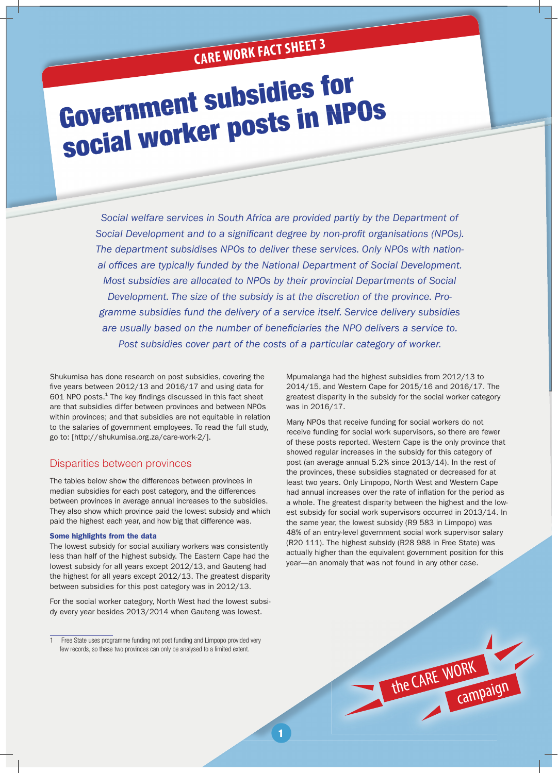# **CARE WORK FACT SHEET 3**

# Government subsidies for social worker posts in NPOs

*Social welfare services in South Africa are provided partly by the Department of*  Social Development and to a significant degree by non-profit organisations (NPOs). *The department subsidises NPOs to deliver these services. Only NPOs with nation*al offices are typically funded by the National Department of Social Development. *Most subsidies are allocated to NPOs by their provincial Departments of Social Development. The size of the subsidy is at the discretion of the province. Programme subsidies fund the delivery of a service itself. Service delivery subsidies*  are usually based on the number of beneficiaries the NPO delivers a service to. *Post subsidies cover part of the costs of a particular category of worker.*

Shukumisa has done research on post subsidies, covering the five years between  $2012/13$  and  $2016/17$  and using data for  $601$  NPO posts. $^{1}$  The key findings discussed in this fact sheet are that subsidies differ between provinces and between NPOs within provinces; and that subsidies are not equitable in relation to the salaries of government employees. To read the full study, go to: [http://shukumisa.org.za/care-work-2/].

# Disparities between provinces

The tables below show the differences between provinces in median subsidies for each post category, and the differences between provinces in average annual increases to the subsidies. They also show which province paid the lowest subsidy and which paid the highest each year, and how big that difference was.

#### Some highlights from the data

The lowest subsidy for social auxiliary workers was consistently less than half of the highest subsidy. The Eastern Cape had the lowest subsidy for all years except 2012/13, and Gauteng had the highest for all years except 2012/13. The greatest disparity between subsidies for this post category was in 2012/13.

For the social worker category, North West had the lowest subsidy every year besides 2013/2014 when Gauteng was lowest.

Mpumalanga had the highest subsidies from 2012/13 to 2014/15, and Western Cape for 2015/16 and 2016/17. The greatest disparity in the subsidy for the social worker category was in 2016/17.

Many NPOs that receive funding for social workers do not receive funding for social work supervisors, so there are fewer of these posts reported. Western Cape is the only province that showed regular increases in the subsidy for this category of post (an average annual 5.2% since 2013/14). In the rest of the provinces, these subsidies stagnated or decreased for at least two years. Only Limpopo, North West and Western Cape had annual increases over the rate of inflation for the period as a whole. The greatest disparity between the highest and the lowest subsidy for social work supervisors occurred in 2013/14. In the same year, the lowest subsidy (R9 583 in Limpopo) was 48% of an entry-level government social work supervisor salary (R20 111). The highest subsidy (R28 988 in Free State) was actually higher than the equivalent government position for this year—an anomaly that was not found in any other case.

the CARE WORK

campaign

<sup>1</sup> Free State uses programme funding not post funding and Limpopo provided very few records, so these two provinces can only be analysed to a limited extent.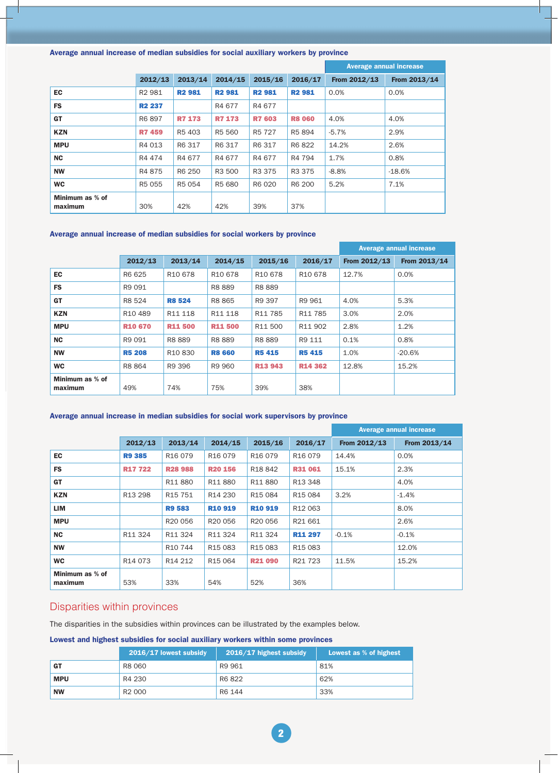# Average annual increase of median subsidies for social auxiliary workers by province

|                            |                    |                    |               |               | Average annual increase |              |              |
|----------------------------|--------------------|--------------------|---------------|---------------|-------------------------|--------------|--------------|
|                            | 2012/13            | 2013/14            | 2014/15       | 2015/16       | 2016/17                 | From 2012/13 | From 2013/14 |
| <b>EC</b>                  | R <sub>2</sub> 981 | <b>R2981</b>       | <b>R2 981</b> | <b>R2 981</b> | <b>R2 981</b>           | 0.0%         | 0.0%         |
| <b>FS</b>                  | <b>R2 237</b>      |                    | R4 677        | R4 677        |                         |              |              |
| <b>GT</b>                  | R6 897             | <b>R7 173</b>      | <b>R7 173</b> | <b>R7 603</b> | <b>R8 060</b>           | 4.0%         | 4.0%         |
| <b>KZN</b>                 | <b>R7 459</b>      | R <sub>5</sub> 403 | R5 560        | R5 727        | R5 894                  | $-5.7%$      | 2.9%         |
| <b>MPU</b>                 | R4 013             | R6 317             | R6 317        | R6 317        | R6 822                  | 14.2%        | 2.6%         |
| <b>NC</b>                  | R4 474             | R4 677             | R4 677        | R4 677        | R4 794                  | 1.7%         | 0.8%         |
| <b>NW</b>                  | R4 875             | R6 250             | R3 500        | R3 375        | R3 375                  | $-8.8%$      | $-18.6%$     |
| <b>WC</b>                  | R5 055             | R5 054             | R5 680        | R6 020        | R6 200                  | 5.2%         | 7.1%         |
| Minimum as % of<br>maximum | 30%                | 42%                | 42%           | 39%           | 37%                     |              |              |

# Average annual increase of median subsidies for social workers by province

|                            |                     |                     |                     |                     |                     | <b>Average annual increase</b> |              |  |
|----------------------------|---------------------|---------------------|---------------------|---------------------|---------------------|--------------------------------|--------------|--|
|                            | 2012/13             | 2013/14             | 2014/15             | 2015/16             | 2016/17             | From 2012/13                   | From 2013/14 |  |
| <b>EC</b>                  | R6 625              | R <sub>10</sub> 678 | R <sub>10</sub> 678 | R <sub>10</sub> 678 | R <sub>10</sub> 678 | 12.7%                          | 0.0%         |  |
| <b>FS</b>                  | R9 091              |                     | R8 889              | R8 889              |                     |                                |              |  |
| <b>GT</b>                  | R8 524              | <b>R8 524</b>       | R8 865              | R9 397              | R9 961              | 4.0%                           | 5.3%         |  |
| <b>KZN</b>                 | R <sub>10</sub> 489 | R11 118             | R11 118             | R <sub>11</sub> 785 | R <sub>11</sub> 785 | 3.0%                           | 2.0%         |  |
| <b>MPU</b>                 | <b>R10 670</b>      | <b>R11500</b>       | <b>R11500</b>       | R11 500             | R11 902             | 2.8%                           | 1.2%         |  |
| <b>NC</b>                  | R9 091              | R8889               | R8 889              | R8 889              | R9 111              | 0.1%                           | 0.8%         |  |
| <b>NW</b>                  | <b>R5 208</b>       | R <sub>10</sub> 830 | <b>R8 660</b>       | <b>R5415</b>        | <b>R5415</b>        | 1.0%                           | $-20.6%$     |  |
| <b>WC</b>                  | R8 864              | R9 396              | R9 960              | <b>R13 943</b>      | <b>R14 362</b>      | 12.8%                          | 15.2%        |  |
| Minimum as % of<br>maximum | 49%                 | 74%                 | 75%                 | 39%                 | 38%                 |                                |              |  |

# Average annual increase in median subsidies for social work supervisors by province

|                            |                     |                                 |                     |                     | <b>Average annual increase</b> |              |              |
|----------------------------|---------------------|---------------------------------|---------------------|---------------------|--------------------------------|--------------|--------------|
|                            | 2012/13             | 2013/14                         | 2014/15             | 2015/16             | 2016/17                        | From 2012/13 | From 2013/14 |
| <b>EC</b>                  | <b>R9 385</b>       | R <sub>16</sub> 079             | R <sub>16</sub> 079 | R <sub>16</sub> 079 | R <sub>16</sub> 079            | 14.4%        | 0.0%         |
| <b>FS</b>                  | <b>R17722</b>       | <b>R28 988</b>                  | <b>R20 156</b>      | R <sub>18</sub> 842 | <b>R31061</b>                  | 15.1%        | 2.3%         |
| GT                         |                     | R11880                          | R11880              | R11880              | R13 348                        |              | 4.0%         |
| <b>KZN</b>                 | R <sub>13</sub> 298 | R <sub>15</sub> 751             | R <sub>14</sub> 230 | R <sub>15</sub> 084 | R <sub>15</sub> 084            | 3.2%         | $-1.4\%$     |
| LIM                        |                     | <b>R9583</b>                    | <b>R10 919</b>      | <b>R10 919</b>      | R <sub>12</sub> 063            |              | 8.0%         |
| <b>MPU</b>                 |                     | R <sub>20</sub> 056             | R <sub>20</sub> 056 | R <sub>20</sub> 056 | R21 661                        |              | 2.6%         |
| <b>NC</b>                  | R11 324             | R11 324                         | R11 324             | R11 324             | <b>R11 297</b>                 | $-0.1%$      | $-0.1%$      |
| <b>NW</b>                  |                     | R <sub>10</sub> 744             | R <sub>15</sub> 083 | R <sub>15</sub> 083 | R <sub>15</sub> 083            |              | 12.0%        |
| <b>WC</b>                  | R <sub>14</sub> 073 | R <sub>14</sub> 2 <sub>12</sub> | R <sub>15</sub> 064 | <b>R21 090</b>      | R21 723                        | 11.5%        | 15.2%        |
| Minimum as % of<br>maximum | 53%                 | 33%                             | 54%                 | 52%                 | 36%                            |              |              |

# Disparities within provinces

The disparities in the subsidies within provinces can be illustrated by the examples below.

# Lowest and highest subsidies for social auxiliary workers within some provinces

|            | 2016/17 lowest subsidy | 2016/17 highest subsidy | Lowest as % of highest |
|------------|------------------------|-------------------------|------------------------|
| <b>GT</b>  | R8 060                 | R9 961                  | 81%                    |
| <b>MPU</b> | R4 230                 | R6 822                  | 62%                    |
| <b>NW</b>  | R <sub>2</sub> 000     | R6 144                  | 33%                    |

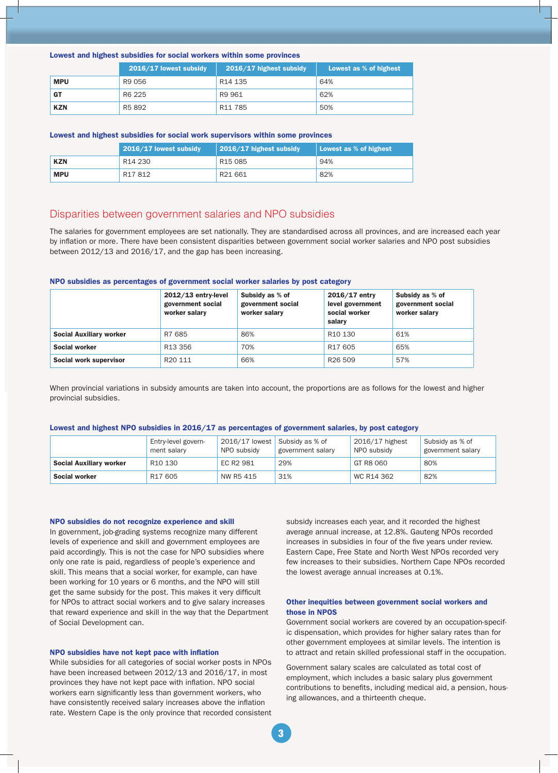#### Lowest and highest subsidies for social workers within some provinces

|            | 2016/17 lowest subsidy | 2016/17 highest subsidy | Lowest as % of highest |
|------------|------------------------|-------------------------|------------------------|
| <b>MPU</b> | R9 056                 | R14 135                 | 64%                    |
| <b>GT</b>  | R6 225                 | R9 961                  | 62%                    |
| <b>KZN</b> | R5 892                 | R <sub>11</sub> 785     | 50%                    |

#### Lowest and highest subsidies for social work supervisors within some provinces

|            | 2016/17 lowest subsidy | $\vert$ 2016/17 highest subsidy | Lowest as % of highest |
|------------|------------------------|---------------------------------|------------------------|
| <b>KZN</b> | R14 230                | R <sub>15</sub> 085             | 94%                    |
| <b>MPU</b> | R17812                 | R21 661                         | 82%                    |

# Disparities between government salaries and NPO subsidies

The salaries for government employees are set nationally. They are standardised across all provinces, and are increased each year by inflation or more. There have been consistent disparities between government social worker salaries and NPO post subsidies between 2012/13 and 2016/17, and the gap has been increasing.

#### NPO subsidies as percentages of government social worker salaries by post category

|                                | $2012/13$ entry-level<br>government social<br>worker salary | Subsidy as % of<br>government social<br>worker salarv | $2016/17$ entry<br>level government<br>social worker<br>salarv | Subsidy as % of<br>government social<br>worker salary |
|--------------------------------|-------------------------------------------------------------|-------------------------------------------------------|----------------------------------------------------------------|-------------------------------------------------------|
| <b>Social Auxiliary worker</b> | R7 685                                                      | 86%                                                   | R <sub>10</sub> 130                                            | 61%                                                   |
| Social worker                  | R <sub>13</sub> 356                                         | 70%                                                   | R <sub>17</sub> 605                                            | 65%                                                   |
| Social work supervisor         | R <sub>20</sub> 111                                         | 66%                                                   | R <sub>26</sub> 509                                            | 57%                                                   |

When provincial variations in subsidy amounts are taken into account, the proportions are as follows for the lowest and higher provincial subsidies.

#### Lowest and highest NPO subsidies in 2016/17 as percentages of government salaries, by post category

|                                | Entry-level govern-<br>ment salary | 2016/17 lowest<br>NPO subsidy | Subsidy as % of<br>government salary | 2016/17 highest<br>NPO subsidy | Subsidy as % of<br>government salary |
|--------------------------------|------------------------------------|-------------------------------|--------------------------------------|--------------------------------|--------------------------------------|
| <b>Social Auxiliary worker</b> | R10 130                            | EC R2 981                     | 29%                                  | GT R8 060                      | 80%                                  |
| Social worker                  | R17 605                            | NW R5 415                     | 31%                                  | WC R14 362                     | 82%                                  |

#### NPO subsidies do not recognize experience and skill

In government, job-grading systems recognize many different levels of experience and skill and government employees are paid accordingly. This is not the case for NPO subsidies where only one rate is paid, regardless of people's experience and skill. This means that a social worker, for example, can have been working for 10 years or 6 months, and the NPO will still get the same subsidy for the post. This makes it very difficult for NPOs to attract social workers and to give salary increases that reward experience and skill in the way that the Department of Social Development can.

#### NPO subsidies have not kept pace with inflation

While subsidies for all categories of social worker posts in NPOs have been increased between 2012/13 and 2016/17, in most provinces they have not kept pace with inflation. NPO social workers earn significantly less than government workers, who have consistently received salary increases above the inflation rate. Western Cape is the only province that recorded consistent subsidy increases each year, and it recorded the highest average annual increase, at 12.8%. Gauteng NPOs recorded increases in subsidies in four of the five years under review. Eastern Cape, Free State and North West NPOs recorded very few increases to their subsidies. Northern Cape NPOs recorded the lowest average annual increases at 0.1%.

### Other inequities between government social workers and those in NPOS

Government social workers are covered by an occupation-specific dispensation, which provides for higher salary rates than for other government employees at similar levels. The intention is to attract and retain skilled professional staff in the occupation.

Government salary scales are calculated as total cost of employment, which includes a basic salary plus government contributions to benefits, including medical aid, a pension, housing allowances, and a thirteenth cheque.